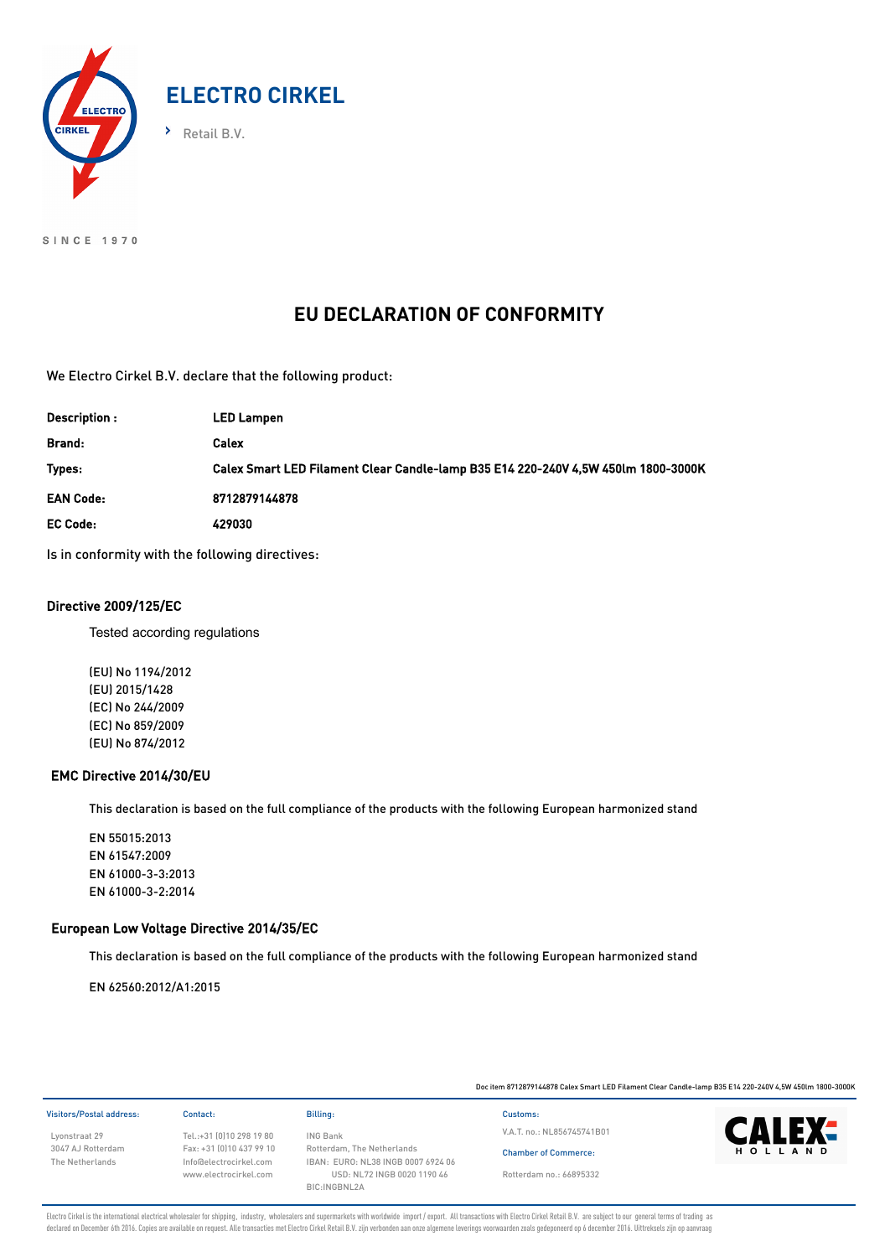

SINCE 1970

# **EU DECLARATION OF CONFORMITY**

We Electro Cirkel B.V. declare that the following product:

| Description :    | <b>LED Lampen</b>                                                                 |
|------------------|-----------------------------------------------------------------------------------|
| Brand:           | Calex                                                                             |
| Types:           | Calex Smart LED Filament Clear Candle-lamp B35 E14 220-240V 4,5W 450lm 1800-3000K |
| <b>EAN Code:</b> | 8712879144878                                                                     |
| <b>EC Code:</b>  | 429030                                                                            |

Is in conformity with the following directives:

### Directive 2009/125/EC

Tested according regulations

(EU) No 1194/2012 (EU) 2015/1428 (EC) No 244/2009 (EC) No 859/2009 (EU) No 874/2012

#### EMC Directive 2014/30/EU

This declaration is based on the full compliance of the products with the following European harmonized stand

EN 55015:2013 EN 61547:2009 EN 61000-3-3:2013 EN 61000-3-2:2014

### European Low Voltage Directive 2014/35/EC

This declaration is based on the full compliance of the products with the following European harmonized stand

EN 62560:2012/A1:2015

Doc item 8712879144878 Calex Smart LED Filament Clear Candle-lamp B35 E14 220-240V 4,5W 450lm 1800-3000K Visitors/Postal address: Contact: Billing: Customs: Lyonstraat 29 3047 AJ Rotterdam The Netherlands Tel.:+31 (0)10 298 19 80 Fax: +31 (0)10 437 99 10 Info@electrocirkel.com www.electrocirkel.com ING Bank Rotterdam, The Netherlands IBAN: EURO: NL38 INGB 0007 6924 06 USD: NL72 INGB 0020 1190 46 BIC:INGBNL2A Chamber of Commerce: V.A.T. no.: NL856745741B01 Rotterdam no.: 66895332

Electro Cirkel is the international electrical wholesaler for shipping, industry, wholesalers and supermarkets with worldwide import / export. All transactions with Electro Cirkel Retail B.V. are subject to our general ter declared on December 6th 2016. Copies are available on request. Alle transacties met Electro Cirkel Retail B.V. zijn verbonden aan onze algemene leverings voorwaarden zoals gedeponeerd op 6 december 2016. Uittreksels zijn